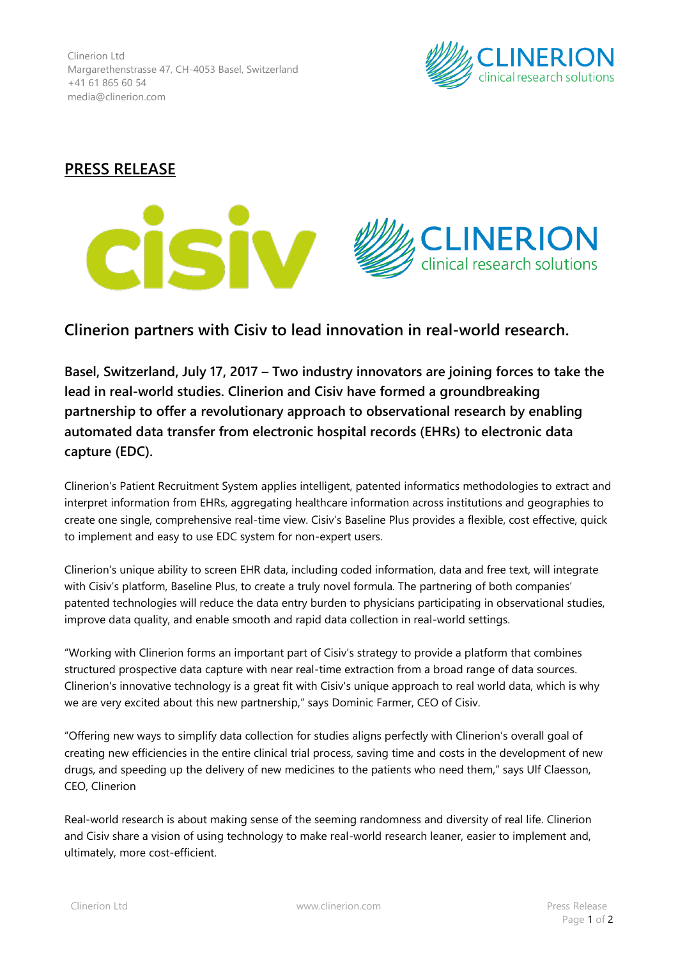Clinerion Ltd Margarethenstrasse 47, CH-4053 Basel, Switzerland +41 61 865 60 54 media@clinerion.com



## **PRESS RELEASE**



# **Clinerion partners with Cisiv to lead innovation in real-world research.**

**Basel, Switzerland, July 17, 2017 – Two industry innovators are joining forces to take the lead in real-world studies. Clinerion and Cisiv have formed a groundbreaking partnership to offer a revolutionary approach to observational research by enabling automated data transfer from electronic hospital records (EHRs) to electronic data capture (EDC).**

Clinerion's Patient Recruitment System applies intelligent, patented informatics methodologies to extract and interpret information from EHRs, aggregating healthcare information across institutions and geographies to create one single, comprehensive real-time view. Cisiv's Baseline Plus provides a flexible, cost effective, quick to implement and easy to use EDC system for non-expert users.

Clinerion's unique ability to screen EHR data, including coded information, data and free text, will integrate with Cisiv's platform, Baseline Plus, to create a truly novel formula. The partnering of both companies' patented technologies will reduce the data entry burden to physicians participating in observational studies, improve data quality, and enable smooth and rapid data collection in real-world settings.

"Working with Clinerion forms an important part of Cisiv's strategy to provide a platform that combines structured prospective data capture with near real-time extraction from a broad range of data sources. Clinerion's innovative technology is a great fit with Cisiv's unique approach to real world data, which is why we are very excited about this new partnership," says Dominic Farmer, CEO of Cisiv.

"Offering new ways to simplify data collection for studies aligns perfectly with Clinerion's overall goal of creating new efficiencies in the entire clinical trial process, saving time and costs in the development of new drugs, and speeding up the delivery of new medicines to the patients who need them," says Ulf Claesson, CEO, Clinerion

Real-world research is about making sense of the seeming randomness and diversity of real life. Clinerion and Cisiv share a vision of using technology to make real-world research leaner, easier to implement and, ultimately, more cost-efficient.